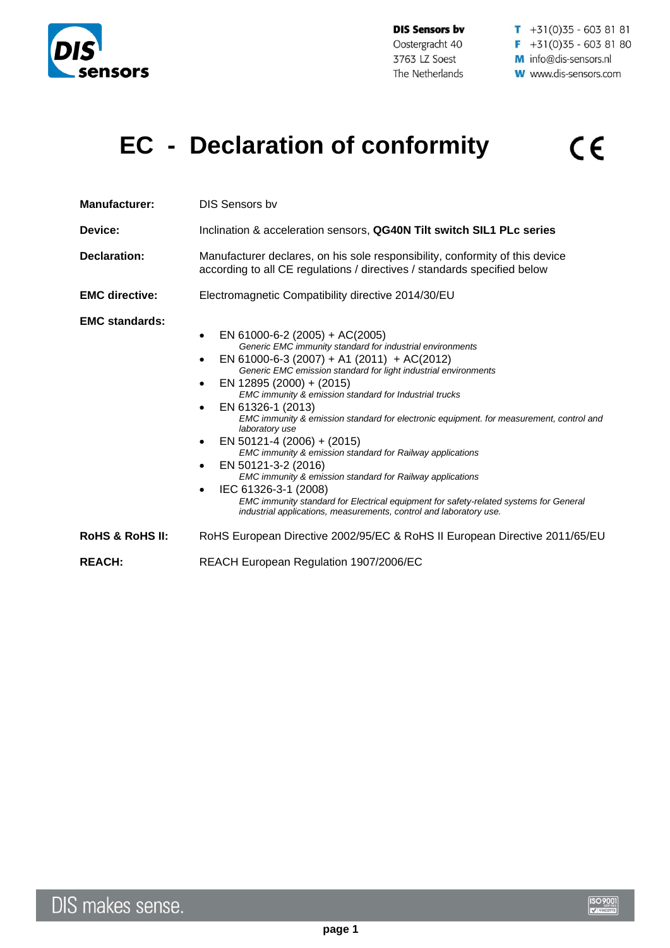

**DIS Sensors bv** Oostergracht 40 3763 LZ Soest The Netherlands

 $\overline{1}$  +31(0)35 - 603 81 81  $F + 31(0)35 - 6038180$ M info@dis-sensors.nl **W** www.dis-sensors.com

## **EC - Declaration of conformity**  $C \in$

| <b>Manufacturer:</b><br>Device: | <b>DIS Sensors by</b><br>Inclination & acceleration sensors, QG40N Tilt switch SIL1 PLc series                                                                                                                                                                                                                                                                                                                                                                                                                                                                                                                                                                                                                                                                                                                                                                 |
|---------------------------------|----------------------------------------------------------------------------------------------------------------------------------------------------------------------------------------------------------------------------------------------------------------------------------------------------------------------------------------------------------------------------------------------------------------------------------------------------------------------------------------------------------------------------------------------------------------------------------------------------------------------------------------------------------------------------------------------------------------------------------------------------------------------------------------------------------------------------------------------------------------|
| Declaration:                    | Manufacturer declares, on his sole responsibility, conformity of this device<br>according to all CE regulations / directives / standards specified below                                                                                                                                                                                                                                                                                                                                                                                                                                                                                                                                                                                                                                                                                                       |
| <b>EMC directive:</b>           | Electromagnetic Compatibility directive 2014/30/EU                                                                                                                                                                                                                                                                                                                                                                                                                                                                                                                                                                                                                                                                                                                                                                                                             |
| <b>EMC standards:</b>           | EN 61000-6-2 (2005) + AC(2005)<br>$\bullet$<br>Generic EMC immunity standard for industrial environments<br>EN 61000-6-3 (2007) + A1 (2011) + AC(2012)<br>Generic EMC emission standard for light industrial environments<br>EN 12895 (2000) + (2015)<br>EMC immunity & emission standard for Industrial trucks<br>EN 61326-1 (2013)<br>$\bullet$<br>EMC immunity & emission standard for electronic equipment. for measurement, control and<br>laboratory use<br>EN 50121-4 (2006) + (2015)<br>EMC immunity & emission standard for Railway applications<br>EN 50121-3-2 (2016)<br>$\bullet$<br>EMC immunity & emission standard for Railway applications<br>IEC 61326-3-1 (2008)<br>$\bullet$<br>EMC immunity standard for Electrical equipment for safety-related systems for General<br>industrial applications, measurements, control and laboratory use. |
| <b>ROHS &amp; ROHS II:</b>      | RoHS European Directive 2002/95/EC & RoHS II European Directive 2011/65/EU                                                                                                                                                                                                                                                                                                                                                                                                                                                                                                                                                                                                                                                                                                                                                                                     |
| <b>REACH:</b>                   | REACH European Regulation 1907/2006/EC                                                                                                                                                                                                                                                                                                                                                                                                                                                                                                                                                                                                                                                                                                                                                                                                                         |